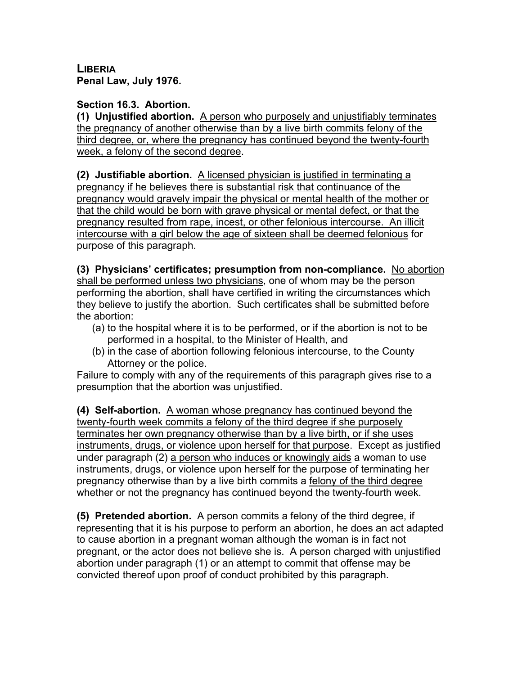**LIBERIA Penal Law, July 1976.**

## **Section 16.3. Abortion.**

**(1) Unjustified abortion.** A person who purposely and unjustifiably terminates the pregnancy of another otherwise than by a live birth commits felony of the third degree, or, where the pregnancy has continued beyond the twenty-fourth week, a felony of the second degree.

**(2) Justifiable abortion.** A licensed physician is justified in terminating a pregnancy if he believes there is substantial risk that continuance of the pregnancy would gravely impair the physical or mental health of the mother or that the child would be born with grave physical or mental defect, or that the pregnancy resulted from rape, incest, or other felonious intercourse. An illicit intercourse with a girl below the age of sixteen shall be deemed felonious for purpose of this paragraph.

**(3) Physicians' certificates; presumption from non-compliance.** No abortion shall be performed unless two physicians, one of whom may be the person performing the abortion, shall have certified in writing the circumstances which they believe to justify the abortion. Such certificates shall be submitted before the abortion:

- (a) to the hospital where it is to be performed, or if the abortion is not to be performed in a hospital, to the Minister of Health, and
- (b) in the case of abortion following felonious intercourse, to the County Attorney or the police.

Failure to comply with any of the requirements of this paragraph gives rise to a presumption that the abortion was unjustified.

**(4) Self-abortion.** A woman whose pregnancy has continued beyond the twenty-fourth week commits a felony of the third degree if she purposely terminates her own pregnancy otherwise than by a live birth, or if she uses instruments, drugs, or violence upon herself for that purpose. Except as justified under paragraph (2) a person who induces or knowingly aids a woman to use instruments, drugs, or violence upon herself for the purpose of terminating her pregnancy otherwise than by a live birth commits a felony of the third degree whether or not the pregnancy has continued beyond the twenty-fourth week.

**(5) Pretended abortion.** A person commits a felony of the third degree, if representing that it is his purpose to perform an abortion, he does an act adapted to cause abortion in a pregnant woman although the woman is in fact not pregnant, or the actor does not believe she is. A person charged with unjustified abortion under paragraph (1) or an attempt to commit that offense may be convicted thereof upon proof of conduct prohibited by this paragraph.